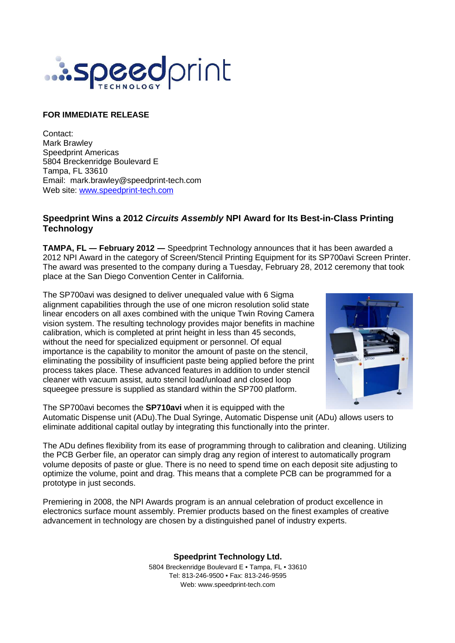

## **FOR IMMEDIATE RELEASE**

Contact: Mark Brawley Speedprint Americas 5804 Breckenridge Boulevard E Tampa, FL 33610 Email: mark.brawley@speedprint-tech.com Web site: www.speedprint-tech.com

## **Speedprint Wins a 2012 Circuits Assembly NPI Award for Its Best-in-Class Printing Technology**

**TAMPA, FL** ― **February 2012** ― Speedprint Technology announces that it has been awarded a 2012 NPI Award in the category of Screen/Stencil Printing Equipment for its SP700avi Screen Printer. The award was presented to the company during a Tuesday, February 28, 2012 ceremony that took place at the San Diego Convention Center in California.

The SP700avi was designed to deliver unequaled value with 6 Sigma alignment capabilities through the use of one micron resolution solid state linear encoders on all axes combined with the unique Twin Roving Camera vision system. The resulting technology provides major benefits in machine calibration, which is completed at print height in less than 45 seconds, without the need for specialized equipment or personnel. Of equal importance is the capability to monitor the amount of paste on the stencil, eliminating the possibility of insufficient paste being applied before the print process takes place. These advanced features in addition to under stencil cleaner with vacuum assist, auto stencil load/unload and closed loop squeegee pressure is supplied as standard within the SP700 platform.



The SP700avi becomes the **SP710avi** when it is equipped with the Automatic Dispense unit (ADu).The Dual Syringe, Automatic Dispense unit (ADu) allows users to eliminate additional capital outlay by integrating this functionally into the printer.

The ADu defines flexibility from its ease of programming through to calibration and cleaning. Utilizing the PCB Gerber file, an operator can simply drag any region of interest to automatically program volume deposits of paste or glue. There is no need to spend time on each deposit site adjusting to optimize the volume, point and drag. This means that a complete PCB can be programmed for a prototype in just seconds.

Premiering in 2008, the NPI Awards program is an annual celebration of product excellence in electronics surface mount assembly. Premier products based on the finest examples of creative advancement in technology are chosen by a distinguished panel of industry experts.

> **Speedprint Technology Ltd.** 5804 Breckenridge Boulevard E • Tampa, FL • 33610 Tel: 813-246-9500 • Fax: 813-246-9595 Web: www.speedprint-tech.com